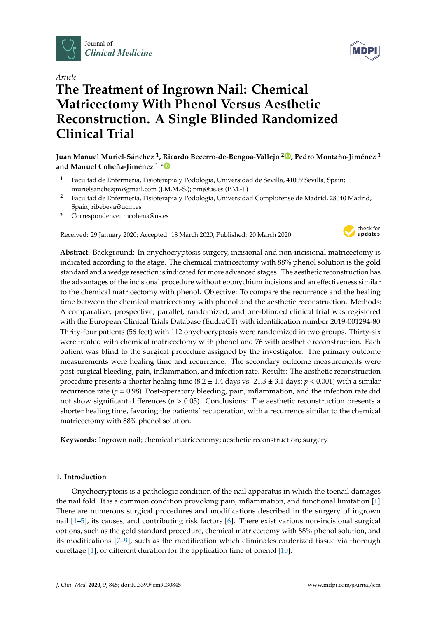

*Article*

# **The Treatment of Ingrown Nail: Chemical Matricectomy With Phenol Versus Aesthetic Reconstruction. A Single Blinded Randomized Clinical Trial**



### **Juan Manuel Muriel-Sánchez <sup>1</sup> , Ricardo Becerro-de-Bengoa-Vallejo <sup>2</sup> [,](https://orcid.org/0000-0003-1568-7602) Pedro Montaño-Jiménez <sup>1</sup> and Manuel Coheña-Jiménez 1,[\\*](https://orcid.org/0000-0001-5714-6594)**

- <sup>1</sup> Facultad de Enfermería, Fisioterapia y Podología, Universidad de Sevilla, 41009 Sevilla, Spain; murielsanchezjm@gmail.com (J.M.M.-S.); pmj@us.es (P.M.-J.)
- <sup>2</sup> Facultad de Enfermería, Fisioterapia y Podología, Universidad Complutense de Madrid, 28040 Madrid, Spain; ribebeva@ucm.es
- **\*** Correspondence: mcohena@us.es

Received: 29 January 2020; Accepted: 18 March 2020; Published: 20 March 2020



**Abstract:** Background: In onychocryptosis surgery, incisional and non-incisional matricectomy is indicated according to the stage. The chemical matricectomy with 88% phenol solution is the gold standard and a wedge resection is indicated for more advanced stages. The aesthetic reconstruction has the advantages of the incisional procedure without eponychium incisions and an effectiveness similar to the chemical matricectomy with phenol. Objective: To compare the recurrence and the healing time between the chemical matricectomy with phenol and the aesthetic reconstruction. Methods: A comparative, prospective, parallel, randomized, and one-blinded clinical trial was registered with the European Clinical Trials Database (EudraCT) with identification number 2019-001294-80. Thrity-four patients (56 feet) with 112 onychocryptosis were randomized in two groups. Thirty-six were treated with chemical matricectomy with phenol and 76 with aesthetic reconstruction. Each patient was blind to the surgical procedure assigned by the investigator. The primary outcome measurements were healing time and recurrence. The secondary outcome measurements were post-surgical bleeding, pain, inflammation, and infection rate. Results: The aesthetic reconstruction procedure presents a shorter healing time  $(8.2 \pm 1.4$  days vs.  $21.3 \pm 3.1$  days;  $p < 0.001$ ) with a similar recurrence rate ( $p = 0.98$ ). Post-operatory bleeding, pain, inflammation, and the infection rate did not show significant differences (*p* > 0.05). Conclusions: The aesthetic reconstruction presents a shorter healing time, favoring the patients' recuperation, with a recurrence similar to the chemical matricectomy with 88% phenol solution.

**Keywords:** Ingrown nail; chemical matricectomy; aesthetic reconstruction; surgery

#### **1. Introduction**

Onychocryptosis is a pathologic condition of the nail apparatus in which the toenail damages the nail fold. It is a common condition provoking pain, inflammation, and functional limitation [\[1\]](#page-7-0). There are numerous surgical procedures and modifications described in the surgery of ingrown nail [\[1](#page-7-0)[–5\]](#page-7-1), its causes, and contributing risk factors [\[6\]](#page-7-2). There exist various non-incisional surgical options, such as the gold standard procedure, chemical matricectomy with 88% phenol solution, and its modifications [\[7–](#page-7-3)[9\]](#page-7-4), such as the modification which eliminates cauterized tissue via thorough curettage [\[1\]](#page-7-0), or different duration for the application time of phenol [\[10\]](#page-7-5).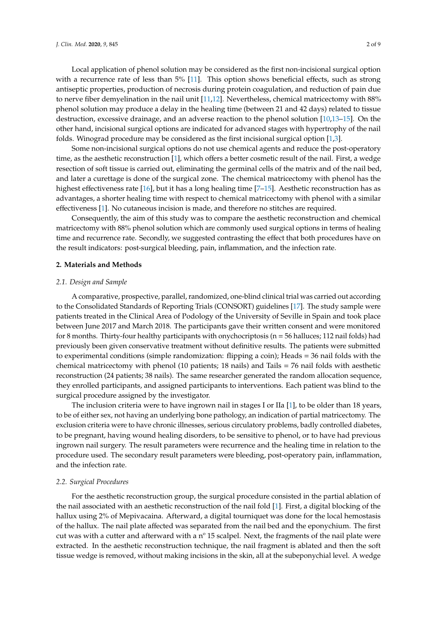to nerve fiber demyelination in the nail unit [\[11,](#page-7-6)[12\]](#page-7-7). Nevertheless, chemical matricectomy with 88% phenol solution may produce a delay in the healing time (between 21 and 42 days) related to tissue destruction, excessive drainage, and an adverse reaction to the phenol solution [\[10,](#page-7-5)[13](#page-7-8)[–15\]](#page-8-0). On the other hand, incisional surgical options are indicated for advanced stages with hypertrophy of the nail folds. Winograd procedure may be considered as the first incisional surgical option [\[1](#page-7-0)[,3\]](#page-7-9).

Some non-incisional surgical options do not use chemical agents and reduce the post-operatory time, as the aesthetic reconstruction [\[1\]](#page-7-0), which offers a better cosmetic result of the nail. First, a wedge resection of soft tissue is carried out, eliminating the germinal cells of the matrix and of the nail bed, and later a curettage is done of the surgical zone. The chemical matricectomy with phenol has the highest effectiveness rate [\[16\]](#page-8-1), but it has a long healing time [\[7–](#page-7-3)[15\]](#page-8-0). Aesthetic reconstruction has as advantages, a shorter healing time with respect to chemical matricectomy with phenol with a similar effectiveness [\[1\]](#page-7-0). No cutaneous incision is made, and therefore no stitches are required.

Consequently, the aim of this study was to compare the aesthetic reconstruction and chemical matricectomy with 88% phenol solution which are commonly used surgical options in terms of healing time and recurrence rate. Secondly, we suggested contrasting the effect that both procedures have on the result indicators: post-surgical bleeding, pain, inflammation, and the infection rate.

#### **2. Materials and Methods**

#### *2.1. Design and Sample*

A comparative, prospective, parallel, randomized, one-blind clinical trial was carried out according to the Consolidated Standards of Reporting Trials (CONSORT) guidelines [\[17\]](#page-8-2). The study sample were patients treated in the Clinical Area of Podology of the University of Seville in Spain and took place between June 2017 and March 2018. The participants gave their written consent and were monitored for 8 months. Thirty-four healthy participants with onychocriptosis ( $n = 56$  halluces; 112 nail folds) had previously been given conservative treatment without definitive results. The patients were submitted to experimental conditions (simple randomization: flipping a coin); Heads = 36 nail folds with the chemical matricectomy with phenol (10 patients; 18 nails) and Tails = 76 nail folds with aesthetic reconstruction (24 patients; 38 nails). The same researcher generated the random allocation sequence, they enrolled participants, and assigned participants to interventions. Each patient was blind to the surgical procedure assigned by the investigator.

The inclusion criteria were to have ingrown nail in stages I or IIa [\[1\]](#page-7-0), to be older than 18 years, to be of either sex, not having an underlying bone pathology, an indication of partial matricectomy. The exclusion criteria were to have chronic illnesses, serious circulatory problems, badly controlled diabetes, to be pregnant, having wound healing disorders, to be sensitive to phenol, or to have had previous ingrown nail surgery. The result parameters were recurrence and the healing time in relation to the procedure used. The secondary result parameters were bleeding, post-operatory pain, inflammation, and the infection rate.

#### *2.2. Surgical Procedures*

For the aesthetic reconstruction group, the surgical procedure consisted in the partial ablation of the nail associated with an aesthetic reconstruction of the nail fold [\[1\]](#page-7-0). First, a digital blocking of the hallux using 2% of Mepivacaina. Afterward, a digital tourniquet was done for the local hemostasis of the hallux. The nail plate affected was separated from the nail bed and the eponychium. The first cut was with a cutter and afterward with a  $n^{\circ}$  15 scalpel. Next, the fragments of the nail plate were extracted. In the aesthetic reconstruction technique, the nail fragment is ablated and then the soft tissue wedge is removed, without making incisions in the skin, all at the subeponychial level. A wedge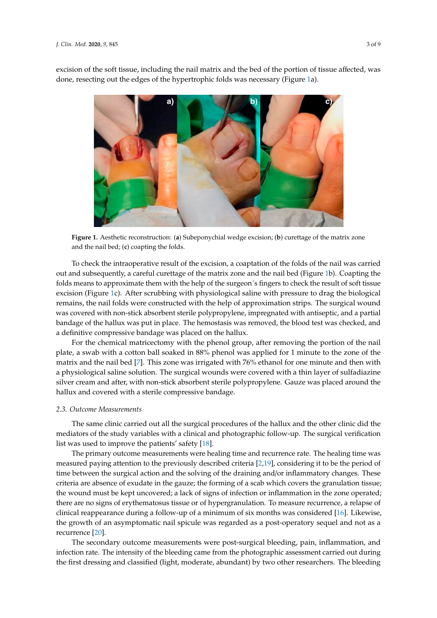

<span id="page-2-0"></span>excision of the soft tissue, including the nail matrix and the bed of the portion of tissue affected, was done, resecting out the edges of the hypertrophic folds was necessary (Figure [1a](#page-2-0)).

Figure 1. Aesthetic reconstruction: (a) Subeponychial wedge excision; (b) curettage of the matrix zone and the nail bed; (**c**) coapting the folds. and the nail bed; (**c**) coapting the folds.

To check the intraoperative result of the excision, a coaptation of the folds of the nail was carried To check the intraoperative result of the excision, a coaptation of the folds of the nail was carried out and subsequently, a careful c[ur](#page-2-0)ettage of the matrix zone and the nail bed (Figure 1b). Coapting the folds means to approximate them with the help of the surgeon´s fingers to check the result of soft tissue excision (Figure [1c](#page-2-0)). After scrubbing with physiological saline with pressure to drag the biological remains, the nail folds were constructed with the help of approximation strips. The surgical wound was covered with non-stick absorbent sterile polypropylene, impregnated with antiseptic, and a partial bandage of the hallux was put in place. The hemostasis was removed, the blood test was checked, and a definitive compressive bandage was placed on the hallux.

For the chemical matricectomy with the phenol group, after removing the portion of the nail For the chemical matricectomy with the phenol group, after removing the portion of the nail plate, a swab with a cotton ball soaked in 88% phenol was applied for 1 minute to the zone of the plate, a swab with a cotton ball soaked in 88% phenol was applied for 1 minute to the zone of the matrix and the nail bed [\[7\]](#page-7-3). This zone was irrigated with 76% ethanol for one minute and then with a physiological saline solution. The surgical wounds were covered with a thin layer of sulfadiazine a physiological saline solution. The surgical wounds were covered with a thin layer of sulfadiazine silver cream and after, with non‐stick absorbent sterile polypropylene. Gauze was placed around the silver cream and after, with non-stick absorbent sterile polypropylene. Gauze was placed around the hallux and covered with a sterile compressive bandage. hallux and covered with a sterile compressive bandage.

## *2.3. Outcome Measurements 2.3. Outcome Measurements*

The same clinic carried out all the surgical procedures of the hallux and the other clinic did the The same clinic carried out all the surgical procedures of the hallux and the other clinic did the mediators of the study variables with a clinical and photographic follow‐up. The surgical verification mediators of the study variables with a clinical and photographic follow-up. The surgical verification list was used to improve the patients' safety [18]. list was used to improve the patients' safety [\[18\]](#page-8-3).

The primary outcome measurements were healing time and recurrence rate. The healing time The primary outcome measurements were healing time and recurrence rate. The healing time was measured paying attention to the previously described criteria [\[2](#page-7-10)[,19\]](#page-8-4), considering it to be the period of time between the surgical action and the solving of the draining and/or inflammatory changes. These  $\,$ criteria are absence of exudate in the gauze; the forming of a scab which covers the granulation tissue;  $\,$ the wound must be kept uncovered; a lack of signs of infection or inflammation in the zone operated; there are no signs of erythematosus tissue or of hypergranulation. To measure recurrence, a relapse of clinical reappearance during a follow‐up of a minimum of six months was considered [\[16\]](#page-8-1). Likewise, the growth of an asymptomatic nail spicule was regarded as a post-operatory sequel and not as a recurrence  $[20]$ .

The secondary outcome measurements were post‐surgical bleeding, pain, inflammation, and The secondary outcome measurements were post-surgical bleeding, pain, inflammation, and infection rate. The intensity of the bleeding came from the photographic assessment carried out during the first dressing and classified (light, moderate, abundant) by two other researchers. The bleeding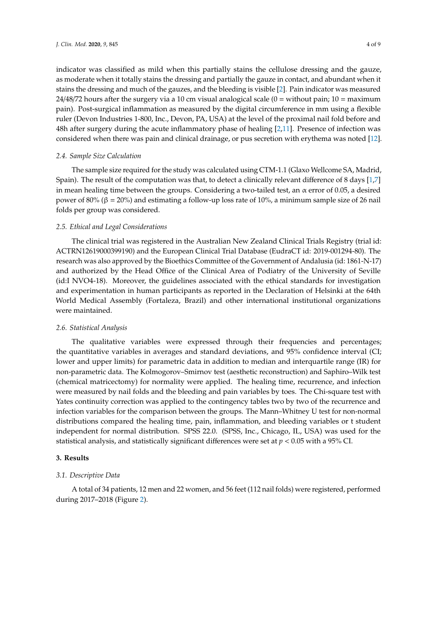indicator was classified as mild when this partially stains the cellulose dressing and the gauze, as moderate when it totally stains the dressing and partially the gauze in contact, and abundant when it stains the dressing and much of the gauzes, and the bleeding is visible [\[2\]](#page-7-10). Pain indicator was measured 24/48/72 hours after the surgery via a 10 cm visual analogical scale ( $0 =$  without pain;  $10 =$  maximum pain). Post-surgical inflammation as measured by the digital circumference in mm using a flexible ruler (Devon Industries 1-800, Inc., Devon, PA, USA) at the level of the proximal nail fold before and 48h after surgery during the acute inflammatory phase of healing [\[2](#page-7-10)[,11\]](#page-7-6). Presence of infection was considered when there was pain and clinical drainage, or pus secretion with erythema was noted [\[12\]](#page-7-7).

#### *2.4. Sample Size Calculation*

The sample size required for the study was calculated using CTM-1.1 (Glaxo Wellcome SA, Madrid, Spain). The result of the computation was that, to detect a clinically relevant difference of 8 days [\[1](#page-7-0)[,7\]](#page-7-3) in mean healing time between the groups. Considering a two-tailed test, an  $\alpha$  error of 0.05, a desired power of 80% (β = 20%) and estimating a follow-up loss rate of 10%, a minimum sample size of 26 nail folds per group was considered.

#### *2.5. Ethical and Legal Considerations*

The clinical trial was registered in the Australian New Zealand Clinical Trials Registry (trial id: ACTRN12619000399190) and the European Clinical Trial Database (EudraCT id: 2019-001294-80). The research was also approved by the Bioethics Committee of the Government of Andalusia (id: 1861-N-17) and authorized by the Head Office of the Clinical Area of Podiatry of the University of Seville (id:I NVO4-18). Moreover, the guidelines associated with the ethical standards for investigation and experimentation in human participants as reported in the Declaration of Helsinki at the 64th World Medical Assembly (Fortaleza, Brazil) and other international institutional organizations were maintained.

#### *2.6. Statistical Analysis*

The qualitative variables were expressed through their frequencies and percentages; the quantitative variables in averages and standard deviations, and 95% confidence interval (CI; lower and upper limits) for parametric data in addition to median and interquartile range (IR) for non-parametric data. The Kolmogorov–Smirnov test (aesthetic reconstruction) and Saphiro–Wilk test (chemical matricectomy) for normality were applied. The healing time, recurrence, and infection were measured by nail folds and the bleeding and pain variables by toes. The Chi-square test with Yates continuity correction was applied to the contingency tables two by two of the recurrence and infection variables for the comparison between the groups. The Mann–Whitney U test for non-normal distributions compared the healing time, pain, inflammation, and bleeding variables or t student independent for normal distribution. SPSS 22.0. (SPSS, Inc., Chicago, IL, USA) was used for the statistical analysis, and statistically significant differences were set at *p* < 0.05 with a 95% CI.

#### **3. Results**

#### *3.1. Descriptive Data*

A total of 34 patients, 12 men and 22 women, and 56 feet (112 nail folds) were registered, performed during 2017–2018 (Figure [2\)](#page-4-0).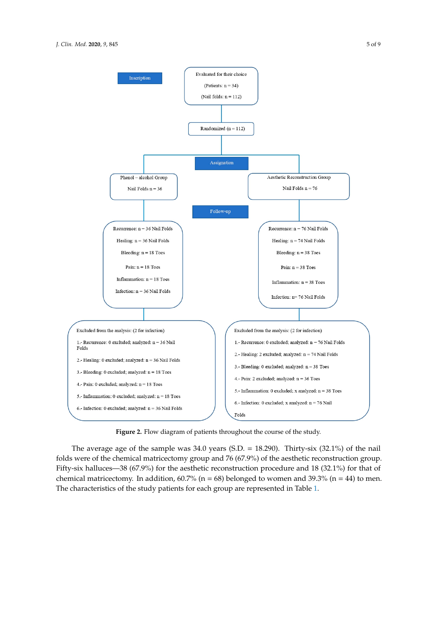<span id="page-4-0"></span>

**Figure 2.** Flow diagram of patients throughout the course of the study.

The average age of the sample was 34.0 years (S.D. = 18.290). Thirty-six (32.1%) of the nail Fifty-six halluces—38 (67.9%) for the aesthetic reconstruction procedure and 18 (32.1%) for that of chemical matricectomy. In addition,  $60.7\%$  (n = 68) belonged to women and 39.3% (n = 44) to men. The characteristics of the study patients for each group are represented in Table [1.](#page-5-0) folds were of the chemical matricectomy group and 76 (67.9%) of the aesthetic reconstruction group.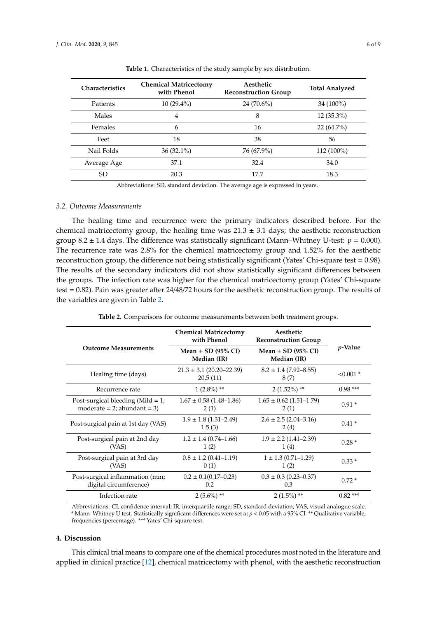<span id="page-5-0"></span>

| <b>Characteristics</b> | <b>Chemical Matricectomy</b><br>with Phenol | Aesthetic<br><b>Reconstruction Group</b> | <b>Total Analyzed</b> |
|------------------------|---------------------------------------------|------------------------------------------|-----------------------|
| Patients               | $10(29.4\%)$                                | $24(70.6\%)$                             | $34(100\%)$           |
| Males                  | 4                                           | 8                                        | $12(35.3\%)$          |
| Females                | 6                                           | 16                                       | $22(64.7\%)$          |
| Feet                   | 18                                          | 38                                       | 56                    |
| Nail Folds             | $36(32.1\%)$                                | 76 (67.9%)                               | $112(100\%)$          |
| Average Age            | 37.1                                        | 32.4                                     | 34.0                  |
| SD                     | 20.3                                        | 17.7                                     | 18.3                  |

**Table 1.** Characteristics of the study sample by sex distribution.

Abbreviations: SD, standard deviation. The average age is expressed in years.

#### *3.2. Outcome Measurements*

The healing time and recurrence were the primary indicators described before. For the chemical matricectomy group, the healing time was  $21.3 \pm 3.1$  days; the aesthetic reconstruction group  $8.2 \pm 1.4$  days. The difference was statistically significant (Mann–Whitney U-test:  $p = 0.000$ ). The recurrence rate was 2.8% for the chemical matricectomy group and 1.52% for the aesthetic reconstruction group, the difference not being statistically significant (Yates' Chi-square test = 0.98). The results of the secondary indicators did not show statistically significant differences between the groups. The infection rate was higher for the chemical matricectomy group (Yates' Chi-square test = 0.82). Pain was greater after 24/48/72 hours for the aesthetic reconstruction group. The results of the variables are given in Table [2.](#page-5-1)

<span id="page-5-1"></span>

|                                                                        | <b>Chemical Matricectomy</b><br>with Phenol | Aesthetic<br><b>Reconstruction Group</b> |                 |  |
|------------------------------------------------------------------------|---------------------------------------------|------------------------------------------|-----------------|--|
| <b>Outcome Measurements</b>                                            | Mean $\pm$ SD (95% CI)<br>Median (IR)       | Mean $\pm$ SD (95% CI)<br>Median (IR)    | <i>p</i> -Value |  |
| Healing time (days)                                                    | $21.3 \pm 3.1$ (20.20–22.39)<br>20,5(11)    | $8.2 \pm 1.4$ (7.92–8.55)<br>8(7)        | $< 0.001$ *     |  |
| Recurrence rate                                                        | $1(2.8\%)$ **                               | $2(1.52\%)$ **                           | $0.98***$       |  |
| Post-surgical bleeding (Mild $= 1$ ;<br>moderate = $2$ ; abundant = 3) | $1.67 \pm 0.58$ (1.48-1.86)<br>2(1)         | $1.65 \pm 0.62$ (1.51-1.79)<br>2(1)      | $0.91*$         |  |
| Post-surgical pain at 1st day (VAS)                                    | $1.9 \pm 1.8$ (1.31–2.49)<br>1.5(3)         | $2.6 \pm 2.5$ (2.04-3.16)<br>2(4)        | $0.41*$         |  |
| Post-surgical pain at 2nd day<br>(VAS)                                 | $1.2 \pm 1.4$ (0.74–1.66)<br>1(2)           | $1.9 \pm 2.2$ (1.41–2.39)<br>1(4)        | $0.28*$         |  |
| Post-surgical pain at 3rd day<br>(VAS)                                 | $0.8 \pm 1.2$ (0.41–1.19)<br>0(1)           | $1 \pm 1.3$ (0.71-1.29)<br>1(2)          | $0.33*$         |  |
| Post-surgical inflammation (mm;<br>digital circumference)              | $0.2 \pm 0.1(0.17 - 0.23)$<br>0.2           | $0.3 \pm 0.3$ (0.23–0.37)<br>0.3         | $0.72*$         |  |
| Infection rate                                                         | $2(5.6\%)$ **                               | $2(1.5\%)$ **                            | $0.82***$       |  |

**Table 2.** Comparisons for outcome measurements between both treatment groups.

Abbreviations: CI, confidence interval; IR, interquartile range; SD, standard deviation; VAS, visual analogue scale. \* Mann–Whitney U test. Statistically significant differences were set at *p* < 0.05 with a 95% CI. \*\* Qualitative variable; frequencies (percentage). \*\*\* Yates' Chi-square test.

#### **4. Discussion**

This clinical trial means to compare one of the chemical procedures most noted in the literature and applied in clinical practice [\[12\]](#page-7-7), chemical matricectomy with phenol, with the aesthetic reconstruction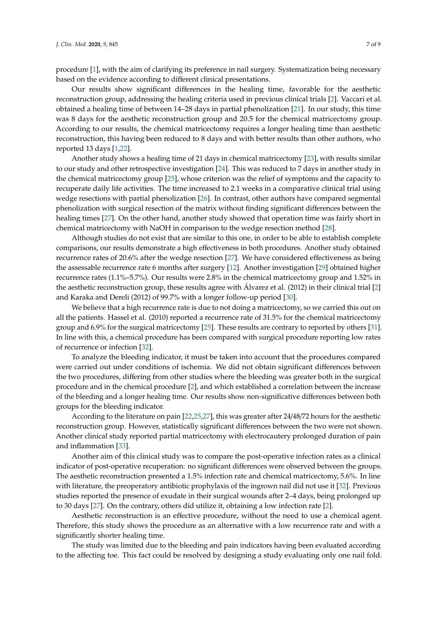procedure [\[1\]](#page-7-0), with the aim of clarifying its preference in nail surgery. Systematization being necessary based on the evidence according to different clinical presentations.

Our results show significant differences in the healing time, favorable for the aesthetic reconstruction group, addressing the healing criteria used in previous clinical trials [\[2\]](#page-7-10). Vaccari et al. obtained a healing time of between 14–28 days in partial phenolization [\[21\]](#page-8-6). In our study, this time was 8 days for the aesthetic reconstruction group and 20.5 for the chemical matricectomy group. According to our results, the chemical matricectomy requires a longer healing time than aesthetic reconstruction, this having been reduced to 8 days and with better results than other authors, who reported 13 days [\[1,](#page-7-0)[22\]](#page-8-7).

Another study shows a healing time of 21 days in chemical matricectomy [\[23\]](#page-8-8), with results similar to our study and other retrospective investigation [\[24\]](#page-8-9). This was reduced to 7 days in another study in the chemical matricectomy group [\[25\]](#page-8-10), whose criterion was the relief of symptoms and the capacity to recuperate daily life activities. The time increased to 2.1 weeks in a comparative clinical trial using wedge resections with partial phenolization [\[26\]](#page-8-11). In contrast, other authors have compared segmental phenolization with surgical resection of the matrix without finding significant differences between the healing times [\[27\]](#page-8-12). On the other hand, another study showed that operation time was fairly short in chemical matricectomy with NaOH in comparison to the wedge resection method [\[28\]](#page-8-13).

Although studies do not exist that are similar to this one, in order to be able to establish complete comparisons, our results demonstrate a high effectiveness in both procedures. Another study obtained recurrence rates of 20.6% after the wedge resection [\[27\]](#page-8-12). We have considered effectiveness as being the assessable recurrence rate 6 months after surgery [\[12\]](#page-7-7). Another investigation [\[29\]](#page-8-14) obtained higher recurrence rates (1.1%–5.7%). Our results were 2.8% in the chemical matricectomy group and 1.52% in the aesthetic reconstruction group, these results agree with Álvarez et al. (2012) in their clinical trial [\[2\]](#page-7-10) and Karaka and Dereli (2012) of 99.7% with a longer follow-up period [\[30\]](#page-8-15).

We believe that a high recurrence rate is due to not doing a matricectomy, so we carried this out on all the patients. Hassel et al. (2010) reported a recurrence rate of 31.5% for the chemical matricectomy group and 6.9% for the surgical matricectomy [\[25\]](#page-8-10). These results are contrary to reported by others [\[31\]](#page-8-16). In line with this, a chemical procedure has been compared with surgical procedure reporting low rates of recurrence or infection [\[32\]](#page-8-17).

To analyze the bleeding indicator, it must be taken into account that the procedures compared were carried out under conditions of ischemia. We did not obtain significant differences between the two procedures, differing from other studies where the bleeding was greater both in the surgical procedure and in the chemical procedure [\[2\]](#page-7-10), and which established a correlation between the increase of the bleeding and a longer healing time. Our results show non-significative differences between both groups for the bleeding indicator.

According to the literature on pain [\[22,](#page-8-7)[25](#page-8-10)[,27\]](#page-8-12), this was greater after 24/48/72 hours for the aesthetic reconstruction group. However, statistically significant differences between the two were not shown. Another clinical study reported partial matricectomy with electrocautery prolonged duration of pain and inflammation [\[33\]](#page-8-18).

Another aim of this clinical study was to compare the post-operative infection rates as a clinical indicator of post-operative recuperation: no significant differences were observed between the groups. The aesthetic reconstruction presented a 1.5% infection rate and chemical matricectomy, 5.6%. In line with literature, the preoperatory antibiotic prophylaxis of the ingrown nail did not use it [\[32\]](#page-8-17). Previous studies reported the presence of exudate in their surgical wounds after 2–4 days, being prolonged up to 30 days [\[27\]](#page-8-12). On the contrary, others did utilize it, obtaining a low infection rate [\[2\]](#page-7-10).

Aesthetic reconstruction is an effective procedure, without the need to use a chemical agent. Therefore, this study shows the procedure as an alternative with a low recurrence rate and with a significantly shorter healing time.

The study was limited due to the bleeding and pain indicators having been evaluated according to the affecting toe. This fact could be resolved by designing a study evaluating only one nail fold.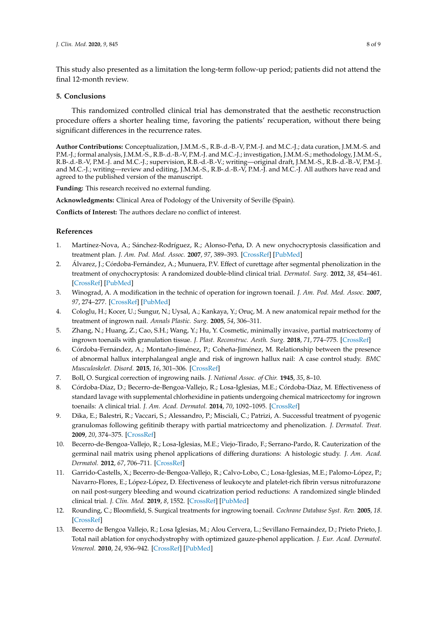This study also presented as a limitation the long-term follow-up period; patients did not attend the final 12-month review.

#### **5. Conclusions**

This randomized controlled clinical trial has demonstrated that the aesthetic reconstruction procedure offers a shorter healing time, favoring the patients' recuperation, without there being significant differences in the recurrence rates.

**Author Contributions:** Conceptualization, J.M.M.-S., R.B-.d.-B.-V, P.M.-J. and M.C.-J.; data curation, J.M.M.-S. and P.M.-J.; formal analysis, J.M.M.-S., R.B-.d.-B.-V, P.M.-J. and M.C.-J.; investigation, J.M.M.-S.; methodology, J.M.M.-S., R.B-.d.-B.-V, P.M.-J. and M.C.-J.; supervision, R.B.-d.-B.-V.; writing—original draft, J.M.M.-S., R.B-.d.-B.-V, P.M.-J. and M.C.-J.; writing—review and editing, J.M.M.-S., R.B-.d.-B.-V, P.M.-J. and M.C.-J. All authors have read and agreed to the published version of the manuscript.

**Funding:** This research received no external funding.

**Acknowledgments:** Clinical Area of Podology of the University of Seville (Spain).

**Conflicts of Interest:** The authors declare no conflict of interest.

#### **References**

- <span id="page-7-0"></span>1. Martínez-Nova, A.; Sánchez-Rodríguez, R.; Alonso-Peña, D. A new onychocryptosis classification and treatment plan. *J. Am. Pod. Med. Assoc.* **2007**, *97*, 389–393. [\[CrossRef\]](http://dx.doi.org/10.7547/0970389) [\[PubMed\]](http://www.ncbi.nlm.nih.gov/pubmed/17901344)
- <span id="page-7-10"></span>2. Álvarez, J.; Córdoba-Fernández, A.; Munuera, P.V. Effect of curettage after segmental phenolization in the treatment of onychocryptosis: A randomized double-blind clinical trial. *Dermatol. Surg.* **2012**, *38*, 454–461. [\[CrossRef\]](http://dx.doi.org/10.1111/j.1524-4725.2011.02232.x) [\[PubMed\]](http://www.ncbi.nlm.nih.gov/pubmed/22122781)
- <span id="page-7-9"></span>3. Winograd, A. A modification in the technic of operation for ingrown toenail. *J. Am. Pod. Med. Assoc.* **2007**, *97*, 274–277. [\[CrossRef\]](http://dx.doi.org/10.7547/0970274) [\[PubMed\]](http://www.ncbi.nlm.nih.gov/pubmed/17660367)
- 4. Cologlu, H.; Kocer, U.; Sungur, N.; Uysal, A.; Kankaya, Y.; Oruç, M. A new anatomical repair method for the treatment of ingrown nail. *Annals Plastic. Surg.* **2005**, *54*, 306–311.
- <span id="page-7-1"></span>5. Zhang, N.; Huang, Z.; Cao, S.H.; Wang, Y.; Hu, Y. Cosmetic, minimally invasive, partial matricectomy of ingrown toenails with granulation tissue. *J. Plast. Reconstruc. Aesth. Surg.* **2018**, *71*, 774–775. [\[CrossRef\]](http://dx.doi.org/10.1016/j.bjps.2017.12.001)
- <span id="page-7-2"></span>6. Córdoba-Fernández, A.; Montaño-Jiménez, P.; Coheña-Jiménez, M. Relationship between the presence of abnormal hallux interphalangeal angle and risk of ingrown hallux nail: A case control study. *BMC Musculoskelet. Disord.* **2015**, *16*, 301–306. [\[CrossRef\]](http://dx.doi.org/10.1186/s12891-015-0749-1)
- <span id="page-7-3"></span>7. Boll, O. Surgical correction of ingrowing nails. *J. National Assoc. of Chir.* **1945**, *35*, 8–10.
- 8. Córdoba-Díaz, D.; Becerro-de-Bengoa-Vallejo, R.; Losa-Iglesias, M.E.; Córdoba-Díaz, M. Effectiveness of standard lavage with supplemental chlorhexidine in patients undergoing chemical matricectomy for ingrown toenails: A clinical trial. *J. Am. Acad. Dermatol.* **2014**, *70*, 1092–1095. [\[CrossRef\]](http://dx.doi.org/10.1016/j.jaad.2014.02.013)
- <span id="page-7-4"></span>9. Dika, E.; Balestri, R.; Vaccari, S.; Alessandro, P.; Misciali, C.; Patrizi, A. Successful treatment of pyogenic granulomas following gefitinib therapy with partial matricectomy and phenolization. *J. Dermatol. Treat.* **2009**, *20*, 374–375. [\[CrossRef\]](http://dx.doi.org/10.3109/09546630902773502)
- <span id="page-7-5"></span>10. Becerro-de-Bengoa-Vallejo, R.; Losa-Iglesias, M.E.; Viejo-Tirado, F.; Serrano-Pardo, R. Cauterization of the germinal nail matrix using phenol applications of differing durations: A histologic study. *J. Am. Acad. Dermatol.* **2012**, *67*, 706–711. [\[CrossRef\]](http://dx.doi.org/10.1016/j.jaad.2012.05.002)
- <span id="page-7-6"></span>11. Garrido-Castells, X.; Becerro-de-Bengoa-Vallejo, R.; Calvo-Lobo, C.; Losa-Iglesias, M.E.; Palomo-López, P.; Navarro-Flores, E.; López-López, D. Efectiveness of leukocyte and platelet-rich fibrin versus nitrofurazone on nail post-surgery bleeding and wound cicatrization period reductions: A randomized single blinded clinical trial. *J. Clin. Med.* **2019**, *8*, 1552. [\[CrossRef\]](http://dx.doi.org/10.3390/jcm8101552) [\[PubMed\]](http://www.ncbi.nlm.nih.gov/pubmed/31569623)
- <span id="page-7-7"></span>12. Rounding, C.; Bloomfield, S. Surgical treatments for ingrowing toenail. *Cochrane Database Syst. Rev.* **2005**, *18*. [\[CrossRef\]](http://dx.doi.org/10.1002/14651858.CD001541.pub2)
- <span id="page-7-8"></span>13. Becerro de Bengoa Vallejo, R.; Losa Iglesias, M.; Alou Cervera, L.; Sevillano Fernaández, D.; Prieto Prieto, J. Total nail ablation for onychodystrophy with optimized gauze-phenol application. *J. Eur. Acad. Dermatol. Venereol.* **2010**, *24*, 936–942. [\[CrossRef\]](http://dx.doi.org/10.1111/j.1468-3083.2010.03569.x) [\[PubMed\]](http://www.ncbi.nlm.nih.gov/pubmed/20180894)